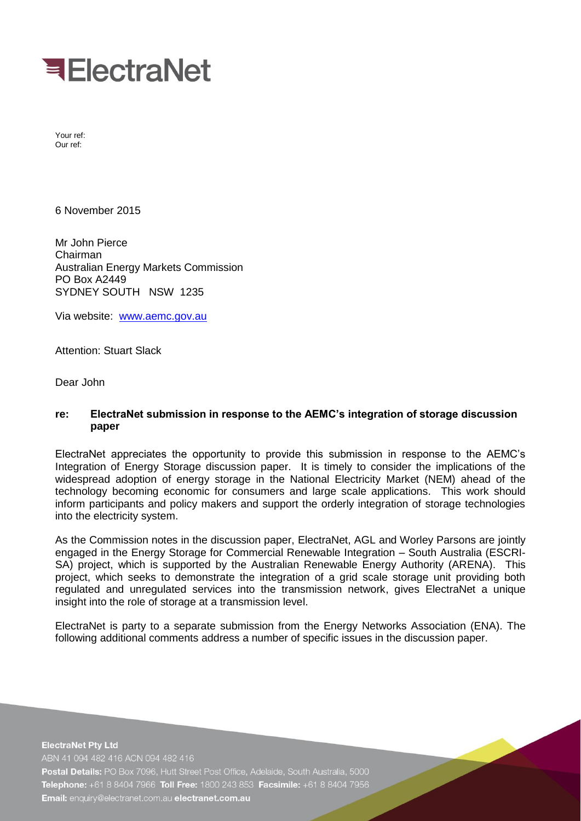

Your ref: Our ref:

6 November 2015

Mr John Pierce Chairman Australian Energy Markets Commission PO Box A2449 SYDNEY SOUTH NSW 1235

Via website: [www.aemc.gov.au](http://www.aemc.gov.au/)

Attention: Stuart Slack

Dear John

# **re: ElectraNet submission in response to the AEMC's integration of storage discussion paper**

ElectraNet appreciates the opportunity to provide this submission in response to the AEMC's Integration of Energy Storage discussion paper. It is timely to consider the implications of the widespread adoption of energy storage in the National Electricity Market (NEM) ahead of the technology becoming economic for consumers and large scale applications. This work should inform participants and policy makers and support the orderly integration of storage technologies into the electricity system.

As the Commission notes in the discussion paper, ElectraNet, AGL and Worley Parsons are jointly engaged in the Energy Storage for Commercial Renewable Integration – South Australia (ESCRI-SA) project, which is supported by the Australian Renewable Energy Authority (ARENA). This project, which seeks to demonstrate the integration of a grid scale storage unit providing both regulated and unregulated services into the transmission network, gives ElectraNet a unique insight into the role of storage at a transmission level.

ElectraNet is party to a separate submission from the Energy Networks Association (ENA). The following additional comments address a number of specific issues in the discussion paper.

**ElectraNet Pty Ltd** ABN 41 094 482 416 ACN 094 482 416 Postal Details: PO Box 7096, Hutt Street Post Office, Adelaide, South Australia, 5000 Telephone: +61 8 8404 7966 Toll Free: 1800 243 853 Facsimile: +61 8 8404 7956 Email: enquiry@electranet.com.au electranet.com.au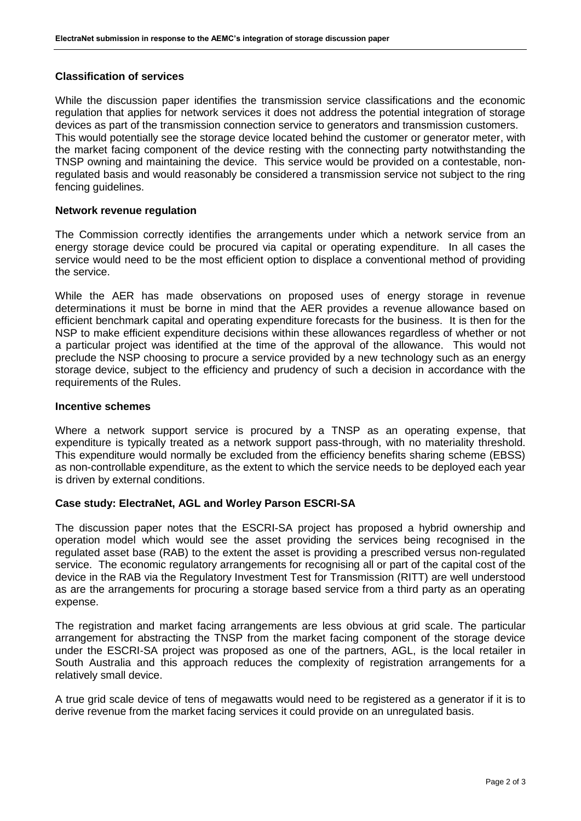# **Classification of services**

While the discussion paper identifies the transmission service classifications and the economic regulation that applies for network services it does not address the potential integration of storage devices as part of the transmission connection service to generators and transmission customers. This would potentially see the storage device located behind the customer or generator meter, with the market facing component of the device resting with the connecting party notwithstanding the TNSP owning and maintaining the device. This service would be provided on a contestable, nonregulated basis and would reasonably be considered a transmission service not subject to the ring fencing guidelines.

### **Network revenue regulation**

The Commission correctly identifies the arrangements under which a network service from an energy storage device could be procured via capital or operating expenditure. In all cases the service would need to be the most efficient option to displace a conventional method of providing the service.

While the AER has made observations on proposed uses of energy storage in revenue determinations it must be borne in mind that the AER provides a revenue allowance based on efficient benchmark capital and operating expenditure forecasts for the business. It is then for the NSP to make efficient expenditure decisions within these allowances regardless of whether or not a particular project was identified at the time of the approval of the allowance. This would not preclude the NSP choosing to procure a service provided by a new technology such as an energy storage device, subject to the efficiency and prudency of such a decision in accordance with the requirements of the Rules.

#### **Incentive schemes**

Where a network support service is procured by a TNSP as an operating expense, that expenditure is typically treated as a network support pass-through, with no materiality threshold. This expenditure would normally be excluded from the efficiency benefits sharing scheme (EBSS) as non-controllable expenditure, as the extent to which the service needs to be deployed each year is driven by external conditions.

### **Case study: ElectraNet, AGL and Worley Parson ESCRI-SA**

The discussion paper notes that the ESCRI-SA project has proposed a hybrid ownership and operation model which would see the asset providing the services being recognised in the regulated asset base (RAB) to the extent the asset is providing a prescribed versus non-regulated service. The economic regulatory arrangements for recognising all or part of the capital cost of the device in the RAB via the Regulatory Investment Test for Transmission (RITT) are well understood as are the arrangements for procuring a storage based service from a third party as an operating expense.

The registration and market facing arrangements are less obvious at grid scale. The particular arrangement for abstracting the TNSP from the market facing component of the storage device under the ESCRI-SA project was proposed as one of the partners, AGL, is the local retailer in South Australia and this approach reduces the complexity of registration arrangements for a relatively small device.

A true grid scale device of tens of megawatts would need to be registered as a generator if it is to derive revenue from the market facing services it could provide on an unregulated basis.